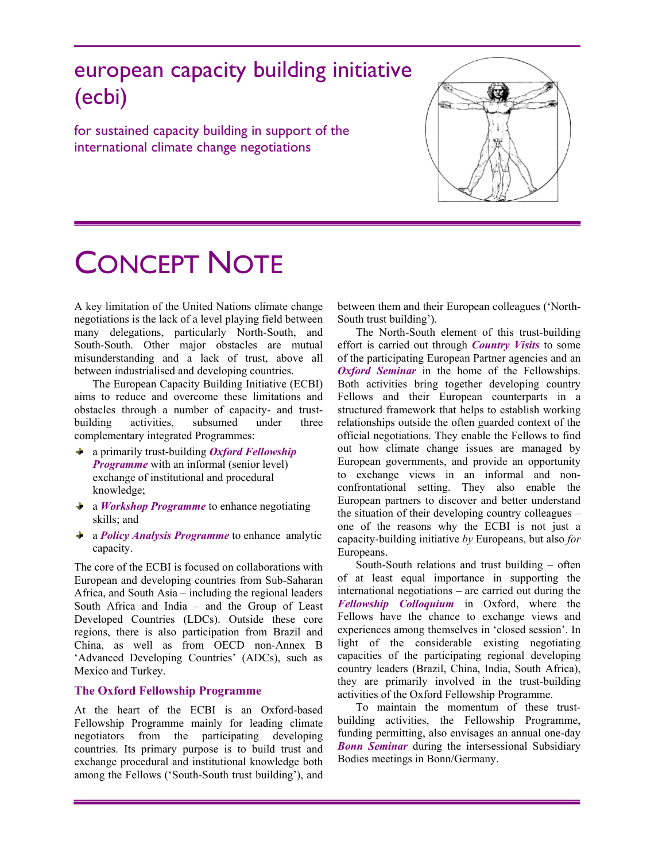# european capacity building initiative (ecbi)

for sustained capacity building in support of the international climate change negotiations



# CONCEPT NOTE

A key limitation of the United Nations climate change negotiations is the lack of a level playing field between many delegations, particularly North-South, and South-South. Other major obstacles are mutual misunderstanding and a lack of trust, above all between industrialised and developing countries.

The European Capacity Building Initiative (ECBI) aims to reduce and overcome these limitations and obstacles through a number of capacity- and trustbuilding activities, subsumed under three complementary integrated Programmes:

- a primarily trust-building *Oxford Fellowship Programme* with an informal (senior level) exchange of institutional and procedural knowledge;
- a *Workshop Programme* to enhance negotiating skills; and
- a *Policy Analysis Programme* to enhance analytic capacity.

The core of the ECBI is focused on collaborations with European and developing countries from Sub-Saharan Africa, and South Asia – including the regional leaders South Africa and India – and the Group of Least Developed Countries (LDCs). Outside these core regions, there is also participation from Brazil and China, as well as from OECD non-Annex B 'Advanced Developing Countries' (ADCs), such as Mexico and Turkey.

## **The Oxford Fellowship Programme**

At the heart of the ECBI is an Oxford-based Fellowship Programme mainly for leading climate negotiators from the participating developing countries. Its primary purpose is to build trust and exchange procedural and institutional knowledge both among the Fellows ('South-South trust building'), and

between them and their European colleagues ('North-South trust building').

The North-South element of this trust-building effort is carried out through *Country Visits* to some of the participating European Partner agencies and an *Oxford Seminar* in the home of the Fellowships. Both activities bring together developing country Fellows and their European counterparts in a structured framework that helps to establish working relationships outside the often guarded context of the official negotiations. They enable the Fellows to find out how climate change issues are managed by European governments, and provide an opportunity to exchange views in an informal and nonconfrontational setting. They also enable the European partners to discover and better understand the situation of their developing country colleagues – one of the reasons why the ECBI is not just a capacity-building initiative *by* Europeans, but also *for* Europeans.

South-South relations and trust building – often of at least equal importance in supporting the international negotiations – are carried out during the *Fellowship Colloquium* in Oxford, where the Fellows have the chance to exchange views and experiences among themselves in 'closed session'. In light of the considerable existing negotiating capacities of the participating regional developing country leaders (Brazil, China, India, South Africa), they are primarily involved in the trust-building activities of the Oxford Fellowship Programme.

To maintain the momentum of these trustbuilding activities, the Fellowship Programme, funding permitting, also envisages an annual one-day *Bonn Seminar* during the intersessional Subsidiary Bodies meetings in Bonn/Germany.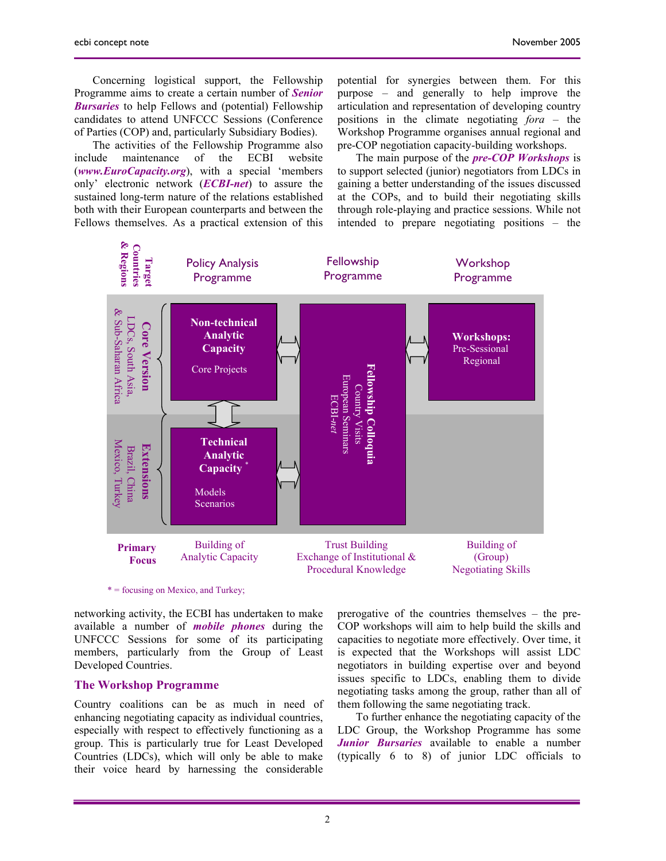Concerning logistical support, the Fellowship Programme aims to create a certain number of *Senior Bursaries* to help Fellows and (potential) Fellowship candidates to attend UNFCCC Sessions (Conference of Parties (COP) and, particularly Subsidiary Bodies).

The activities of the Fellowship Programme also include maintenance of the ECBI website (*www.EuroCapacity.org*), with a special 'members only' electronic network (*ECBI-net*) to assure the sustained long-term nature of the relations established both with their European counterparts and between the Fellows themselves. As a practical extension of this

potential for synergies between them. For this purpose – and generally to help improve the articulation and representation of developing country positions in the climate negotiating *fora* – the Workshop Programme organises annual regional and pre-COP negotiation capacity-building workshops.

The main purpose of the *pre-COP Workshops* is to support selected (junior) negotiators from LDCs in gaining a better understanding of the issues discussed at the COPs, and to build their negotiating skills through role-playing and practice sessions. While not intended to prepare negotiating positions – the



networking activity, the ECBI has undertaken to make available a number of *mobile phones* during the UNFCCC Sessions for some of its participating members, particularly from the Group of Least Developed Countries.

#### **The Workshop Programme**

Country coalitions can be as much in need of enhancing negotiating capacity as individual countries, especially with respect to effectively functioning as a group. This is particularly true for Least Developed Countries (LDCs), which will only be able to make their voice heard by harnessing the considerable

prerogative of the countries themselves – the pre-COP workshops will aim to help build the skills and capacities to negotiate more effectively. Over time, it is expected that the Workshops will assist LDC negotiators in building expertise over and beyond issues specific to LDCs, enabling them to divide negotiating tasks among the group, rather than all of them following the same negotiating track.

To further enhance the negotiating capacity of the LDC Group, the Workshop Programme has some *Junior Bursaries* available to enable a number (typically 6 to 8) of junior LDC officials to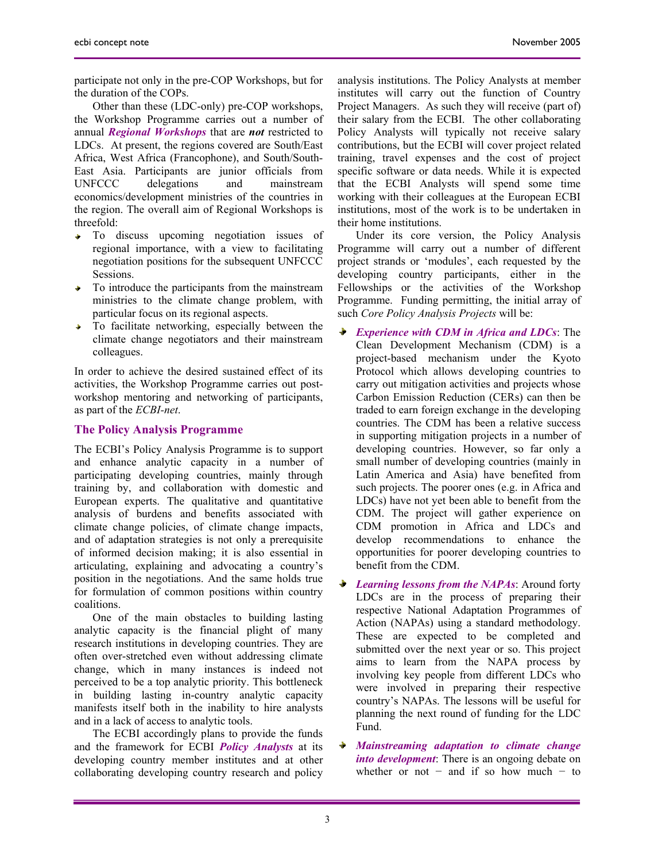participate not only in the pre-COP Workshops, but for the duration of the COPs.

Other than these (LDC-only) pre-COP workshops, the Workshop Programme carries out a number of annual *Regional Workshops* that are *not* restricted to LDCs. At present, the regions covered are South/East Africa, West Africa (Francophone), and South/South-East Asia. Participants are junior officials from UNFCCC delegations and mainstream economics/development ministries of the countries in the region. The overall aim of Regional Workshops is threefold:

- To discuss upcoming negotiation issues of  $\frac{1}{2}$ regional importance, with a view to facilitating negotiation positions for the subsequent UNFCCC Sessions.
- To introduce the participants from the mainstream a. ministries to the climate change problem, with particular focus on its regional aspects.
- $\frac{1}{2}$  . To facilitate networking, especially between the climate change negotiators and their mainstream colleagues.

In order to achieve the desired sustained effect of its activities, the Workshop Programme carries out postworkshop mentoring and networking of participants, as part of the *ECBI-net*.

### **The Policy Analysis Programme**

The ECBI's Policy Analysis Programme is to support and enhance analytic capacity in a number of participating developing countries, mainly through training by, and collaboration with domestic and European experts. The qualitative and quantitative analysis of burdens and benefits associated with climate change policies, of climate change impacts, and of adaptation strategies is not only a prerequisite of informed decision making; it is also essential in articulating, explaining and advocating a country's position in the negotiations. And the same holds true for formulation of common positions within country coalitions.

One of the main obstacles to building lasting analytic capacity is the financial plight of many research institutions in developing countries. They are often over-stretched even without addressing climate change, which in many instances is indeed not perceived to be a top analytic priority. This bottleneck in building lasting in-country analytic capacity manifests itself both in the inability to hire analysts and in a lack of access to analytic tools.

The ECBI accordingly plans to provide the funds and the framework for ECBI *Policy Analysts* at its developing country member institutes and at other collaborating developing country research and policy analysis institutions. The Policy Analysts at member institutes will carry out the function of Country Project Managers. As such they will receive (part of) their salary from the ECBI. The other collaborating Policy Analysts will typically not receive salary contributions, but the ECBI will cover project related training, travel expenses and the cost of project specific software or data needs. While it is expected that the ECBI Analysts will spend some time working with their colleagues at the European ECBI institutions, most of the work is to be undertaken in their home institutions.

Under its core version, the Policy Analysis Programme will carry out a number of different project strands or 'modules', each requested by the developing country participants, either in the Fellowships or the activities of the Workshop Programme. Funding permitting, the initial array of such *Core Policy Analysis Projects* will be:

- *Experience with CDM in Africa and LDCs*: The Clean Development Mechanism (CDM) is a project-based mechanism under the Kyoto Protocol which allows developing countries to carry out mitigation activities and projects whose Carbon Emission Reduction (CERs) can then be traded to earn foreign exchange in the developing countries. The CDM has been a relative success in supporting mitigation projects in a number of developing countries. However, so far only a small number of developing countries (mainly in Latin America and Asia) have benefited from such projects. The poorer ones (e.g. in Africa and LDCs) have not yet been able to benefit from the CDM. The project will gather experience on CDM promotion in Africa and LDCs and develop recommendations to enhance the opportunities for poorer developing countries to benefit from the CDM.
- $\ddot{\phantom{1}}$ *Learning lessons from the NAPAs*: Around forty LDCs are in the process of preparing their respective National Adaptation Programmes of Action (NAPAs) using a standard methodology. These are expected to be completed and submitted over the next year or so. This project aims to learn from the NAPA process by involving key people from different LDCs who were involved in preparing their respective country's NAPAs. The lessons will be useful for planning the next round of funding for the LDC Fund.
- ÷ *Mainstreaming adaptation to climate change into development*: There is an ongoing debate on whether or not  $-$  and if so how much  $-$  to